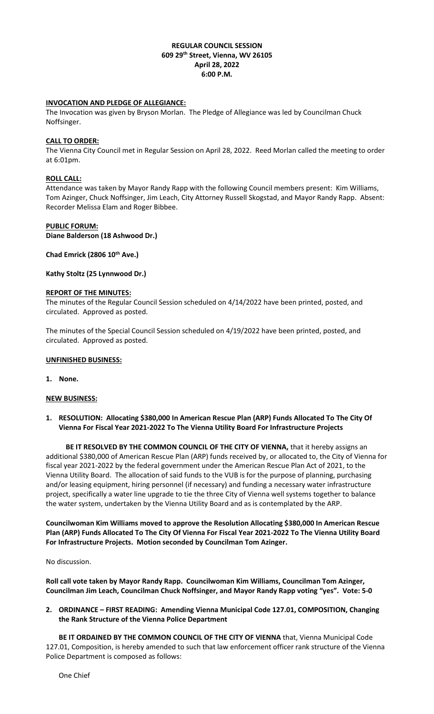# **REGULAR COUNCIL SESSION 609 29th Street, Vienna, WV 26105 April 28, 2022 6:00 P.M.**

# **INVOCATION AND PLEDGE OF ALLEGIANCE:**

The Invocation was given by Bryson Morlan. The Pledge of Allegiance was led by Councilman Chuck Noffsinger.

# **CALL TO ORDER:**

The Vienna City Council met in Regular Session on April 28, 2022. Reed Morlan called the meeting to order at 6:01pm.

# **ROLL CALL:**

Attendance was taken by Mayor Randy Rapp with the following Council members present: Kim Williams, Tom Azinger, Chuck Noffsinger, Jim Leach, City Attorney Russell Skogstad, and Mayor Randy Rapp. Absent: Recorder Melissa Elam and Roger Bibbee.

#### **PUBLIC FORUM:**

**Diane Balderson (18 Ashwood Dr.)**

**Chad Emrick (2806 10th Ave.)**

**Kathy Stoltz (25 Lynnwood Dr.)**

#### **REPORT OF THE MINUTES:**

The minutes of the Regular Council Session scheduled on 4/14/2022 have been printed, posted, and circulated. Approved as posted.

The minutes of the Special Council Session scheduled on 4/19/2022 have been printed, posted, and circulated. Approved as posted.

#### **UNFINISHED BUSINESS:**

**1. None.**

#### **NEW BUSINESS:**

**1. RESOLUTION: Allocating \$380,000 In American Rescue Plan (ARP) Funds Allocated To The City Of Vienna For Fiscal Year 2021-2022 To The Vienna Utility Board For Infrastructure Projects**

BE IT RESOLVED BY THE COMMON COUNCIL OF THE CITY OF VIENNA, that it hereby assigns an additional \$380,000 of American Rescue Plan (ARP) funds received by, or allocated to, the City of Vienna for fiscal year 2021-2022 by the federal government under the American Rescue Plan Act of 2021, to the Vienna Utility Board. The allocation of said funds to the VUB is for the purpose of planning, purchasing and/or leasing equipment, hiring personnel (if necessary) and funding a necessary water infrastructure project, specifically a water line upgrade to tie the three City of Vienna well systems together to balance the water system, undertaken by the Vienna Utility Board and as is contemplated by the ARP.

**Councilwoman Kim Williams moved to approve the Resolution Allocating \$380,000 In American Rescue Plan (ARP) Funds Allocated To The City Of Vienna For Fiscal Year 2021-2022 To The Vienna Utility Board For Infrastructure Projects. Motion seconded by Councilman Tom Azinger.** 

No discussion.

**Roll call vote taken by Mayor Randy Rapp. Councilwoman Kim Williams, Councilman Tom Azinger, Councilman Jim Leach, Councilman Chuck Noffsinger, and Mayor Randy Rapp voting "yes". Vote: 5-0**

# **2. ORDINANCE – FIRST READING: Amending Vienna Municipal Code 127.01, COMPOSITION, Changing the Rank Structure of the Vienna Police Department**

**BE IT ORDAINED BY THE COMMON COUNCIL OF THE CITY OF VIENNA** that, Vienna Municipal Code 127.01, Composition, is hereby amended to such that law enforcement officer rank structure of the Vienna Police Department is composed as follows: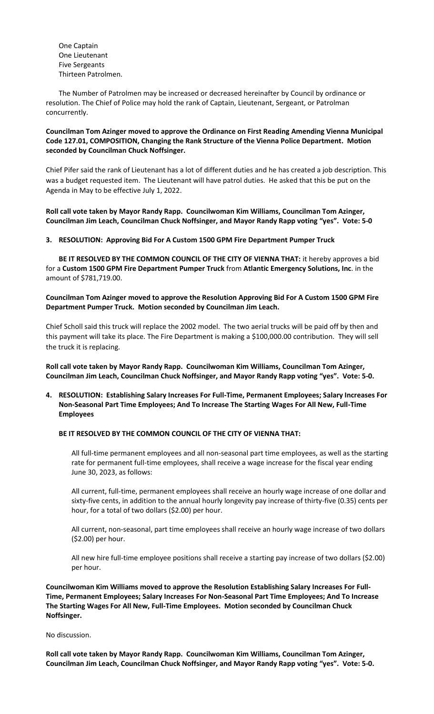One Captain One Lieutenant Five Sergeants Thirteen Patrolmen.

The Number of Patrolmen may be increased or decreased hereinafter by Council by ordinance or resolution. The Chief of Police may hold the rank of Captain, Lieutenant, Sergeant, or Patrolman concurrently.

# **Councilman Tom Azinger moved to approve the Ordinance on First Reading Amending Vienna Municipal Code 127.01, COMPOSITION, Changing the Rank Structure of the Vienna Police Department. Motion seconded by Councilman Chuck Noffsinger.**

Chief Pifer said the rank of Lieutenant has a lot of different duties and he has created a job description. This was a budget requested item. The Lieutenant will have patrol duties. He asked that this be put on the Agenda in May to be effective July 1, 2022.

**Roll call vote taken by Mayor Randy Rapp. Councilwoman Kim Williams, Councilman Tom Azinger, Councilman Jim Leach, Councilman Chuck Noffsinger, and Mayor Randy Rapp voting "yes". Vote: 5-0**

#### **3. RESOLUTION: Approving Bid For A Custom 1500 GPM Fire Department Pumper Truck**

**BE IT RESOLVED BY THE COMMON COUNCIL OF THE CITY OF VIENNA THAT:** it hereby approves a bid for a **Custom 1500 GPM Fire Department Pumper Truck** from **Atlantic Emergency Solutions, Inc**. in the amount of \$781,719.00.

**Councilman Tom Azinger moved to approve the Resolution Approving Bid For A Custom 1500 GPM Fire Department Pumper Truck. Motion seconded by Councilman Jim Leach.** 

Chief Scholl said this truck will replace the 2002 model. The two aerial trucks will be paid off by then and this payment will take its place. The Fire Department is making a \$100,000.00 contribution. They will sell the truck it is replacing.

**Roll call vote taken by Mayor Randy Rapp. Councilwoman Kim Williams, Councilman Tom Azinger, Councilman Jim Leach, Councilman Chuck Noffsinger, and Mayor Randy Rapp voting "yes". Vote: 5-0.**

**4. RESOLUTION: Establishing Salary Increases For Full-Time, Permanent Employees; Salary Increases For Non-Seasonal Part Time Employees; And To Increase The Starting Wages For All New, Full-Time Employees**

# **BE IT RESOLVED BY THE COMMON COUNCIL OF THE CITY OF VIENNA THAT:**

All full-time permanent employees and all non-seasonal part time employees, as well as the starting rate for permanent full-time employees, shall receive a wage increase for the fiscal year ending June 30, 2023, as follows:

All current, full-time, permanent employees shall receive an hourly wage increase of one dollar and sixty-five cents, in addition to the annual hourly longevity pay increase of thirty-five (0.35) cents per hour, for a total of two dollars (\$2.00) per hour.

All current, non-seasonal, part time employees shall receive an hourly wage increase of two dollars (\$2.00) per hour.

All new hire full-time employee positions shall receive a starting pay increase of two dollars (\$2.00) per hour.

**Councilwoman Kim Williams moved to approve the Resolution Establishing Salary Increases For Full-Time, Permanent Employees; Salary Increases For Non-Seasonal Part Time Employees; And To Increase The Starting Wages For All New, Full-Time Employees. Motion seconded by Councilman Chuck Noffsinger.** 

No discussion.

**Roll call vote taken by Mayor Randy Rapp. Councilwoman Kim Williams, Councilman Tom Azinger, Councilman Jim Leach, Councilman Chuck Noffsinger, and Mayor Randy Rapp voting "yes". Vote: 5-0.**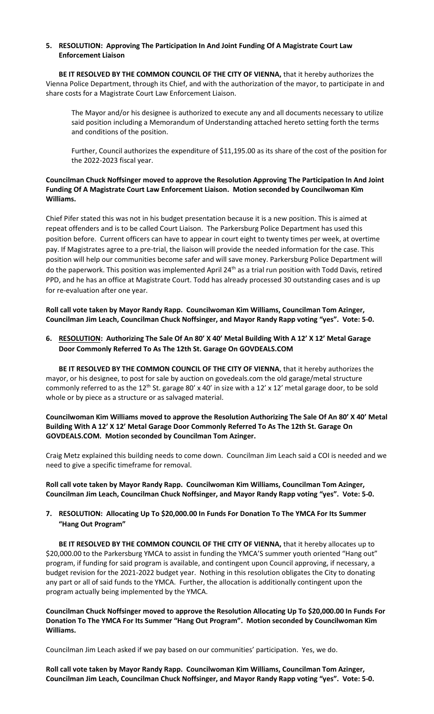## **5. RESOLUTION: Approving The Participation In And Joint Funding Of A Magistrate Court Law Enforcement Liaison**

**BE IT RESOLVED BY THE COMMON COUNCIL OF THE CITY OF VIENNA,** that it hereby authorizes the Vienna Police Department, through its Chief, and with the authorization of the mayor, to participate in and share costs for a Magistrate Court Law Enforcement Liaison.

The Mayor and/or his designee is authorized to execute any and all documents necessary to utilize said position including a Memorandum of Understanding attached hereto setting forth the terms and conditions of the position.

Further, Council authorizes the expenditure of \$11,195.00 as its share of the cost of the position for the 2022-2023 fiscal year.

# **Councilman Chuck Noffsinger moved to approve the Resolution Approving The Participation In And Joint Funding Of A Magistrate Court Law Enforcement Liaison. Motion seconded by Councilwoman Kim Williams.**

Chief Pifer stated this was not in his budget presentation because it is a new position. This is aimed at repeat offenders and is to be called Court Liaison. The Parkersburg Police Department has used this position before. Current officers can have to appear in court eight to twenty times per week, at overtime pay. If Magistrates agree to a pre-trial, the liaison will provide the needed information for the case. This position will help our communities become safer and will save money. Parkersburg Police Department will do the paperwork. This position was implemented April 24<sup>th</sup> as a trial run position with Todd Davis, retired PPD, and he has an office at Magistrate Court. Todd has already processed 30 outstanding cases and is up for re-evaluation after one year.

**Roll call vote taken by Mayor Randy Rapp. Councilwoman Kim Williams, Councilman Tom Azinger, Councilman Jim Leach, Councilman Chuck Noffsinger, and Mayor Randy Rapp voting "yes". Vote: 5-0.**

# **6. RESOLUTION: Authorizing The Sale Of An 80' X 40' Metal Building With A 12' X 12' Metal Garage Door Commonly Referred To As The 12th St. Garage On GOVDEALS.COM**

**BE IT RESOLVED BY THE COMMON COUNCIL OF THE CITY OF VIENNA**, that it hereby authorizes the mayor, or his designee, to post for sale by auction on govedeals.com the old garage/metal structure commonly referred to as the 12<sup>th</sup> St. garage 80' x 40' in size with a 12' x 12' metal garage door, to be sold whole or by piece as a structure or as salvaged material.

**Councilwoman Kim Williams moved to approve the Resolution Authorizing The Sale Of An 80' X 40' Metal Building With A 12' X 12' Metal Garage Door Commonly Referred To As The 12th St. Garage On GOVDEALS.COM. Motion seconded by Councilman Tom Azinger.** 

Craig Metz explained this building needs to come down. Councilman Jim Leach said a COI is needed and we need to give a specific timeframe for removal.

**Roll call vote taken by Mayor Randy Rapp. Councilwoman Kim Williams, Councilman Tom Azinger, Councilman Jim Leach, Councilman Chuck Noffsinger, and Mayor Randy Rapp voting "yes". Vote: 5-0.**

# **7. RESOLUTION: Allocating Up To \$20,000.00 In Funds For Donation To The YMCA For Its Summer "Hang Out Program"**

**BE IT RESOLVED BY THE COMMON COUNCIL OF THE CITY OF VIENNA,** that it hereby allocates up to \$20,000.00 to the Parkersburg YMCA to assist in funding the YMCA'S summer youth oriented "Hang out" program, if funding for said program is available, and contingent upon Council approving, if necessary, a budget revision for the 2021-2022 budget year. Nothing in this resolution obligates the City to donating any part or all of said funds to the YMCA. Further, the allocation is additionally contingent upon the program actually being implemented by the YMCA.

**Councilman Chuck Noffsinger moved to approve the Resolution Allocating Up To \$20,000.00 In Funds For Donation To The YMCA For Its Summer "Hang Out Program". Motion seconded by Councilwoman Kim Williams.** 

Councilman Jim Leach asked if we pay based on our communities' participation. Yes, we do.

**Roll call vote taken by Mayor Randy Rapp. Councilwoman Kim Williams, Councilman Tom Azinger, Councilman Jim Leach, Councilman Chuck Noffsinger, and Mayor Randy Rapp voting "yes". Vote: 5-0.**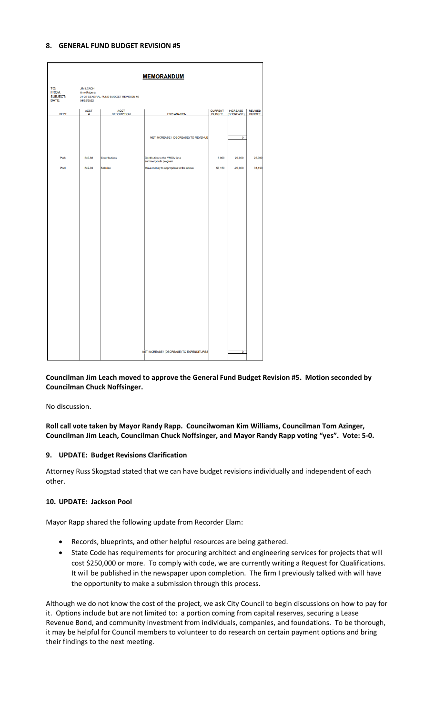#### **8. GENERAL FUND BUDGET REVISION #5**

|                                          |                                                      |                                       | <b>MEMORANDUM</b>                                     |                                 |                               |                                 |
|------------------------------------------|------------------------------------------------------|---------------------------------------|-------------------------------------------------------|---------------------------------|-------------------------------|---------------------------------|
| TO:<br>FROM:<br><b>SUBJECT:</b><br>DATE: | <b>JIM LEACH</b><br><b>Amy Roberts</b><br>04/25/2022 | 21-22 GENERAL FUND BUDGET REVISION #5 |                                                       |                                 |                               |                                 |
| <b>DEPT</b>                              | <b>ACCT</b><br>#                                     | <b>ACCT</b><br><b>DESCRIPTION</b>     | <b>EXPLANATION</b>                                    | <b>CURRENT</b><br><b>BUDGET</b> | <b>INCREASE</b><br>(DECREASE) | <b>REVISED</b><br><b>BUDGET</b> |
|                                          |                                                      |                                       | NET INCREASE / (DECREASE) TO REVENUE                  |                                 | 0                             |                                 |
| Park                                     | 540-68                                               | Contributions                         | Contibution to the YMCA for a<br>summer youth program | 5,000                           | 20,000                        | 25,000                          |
| Pool                                     | 542-03                                               | <b>Salaries</b>                       | Move money to appropriate to the above                | 53,150                          | $-20,000$                     | 33,150                          |
|                                          |                                                      |                                       | NET INCREASE / (DECREASE) TO EXPENDITURES             |                                 | $\overline{0}$                |                                 |

**Councilman Jim Leach moved to approve the General Fund Budget Revision #5. Motion seconded by Councilman Chuck Noffsinger.** 

No discussion.

**Roll call vote taken by Mayor Randy Rapp. Councilwoman Kim Williams, Councilman Tom Azinger, Councilman Jim Leach, Councilman Chuck Noffsinger, and Mayor Randy Rapp voting "yes". Vote: 5-0.**

#### **9. UPDATE: Budget Revisions Clarification**

Attorney Russ Skogstad stated that we can have budget revisions individually and independent of each other.

#### **10. UPDATE: Jackson Pool**

Mayor Rapp shared the following update from Recorder Elam:

- Records, blueprints, and other helpful resources are being gathered.
- State Code has requirements for procuring architect and engineering services for projects that will cost \$250,000 or more. To comply with code, we are currently writing a Request for Qualifications. It will be published in the newspaper upon completion. The firm I previously talked with will have the opportunity to make a submission through this process.

Although we do not know the cost of the project, we ask City Council to begin discussions on how to pay for it. Options include but are not limited to: a portion coming from capital reserves, securing a Lease Revenue Bond, and community investment from individuals, companies, and foundations. To be thorough, it may be helpful for Council members to volunteer to do research on certain payment options and bring their findings to the next meeting.